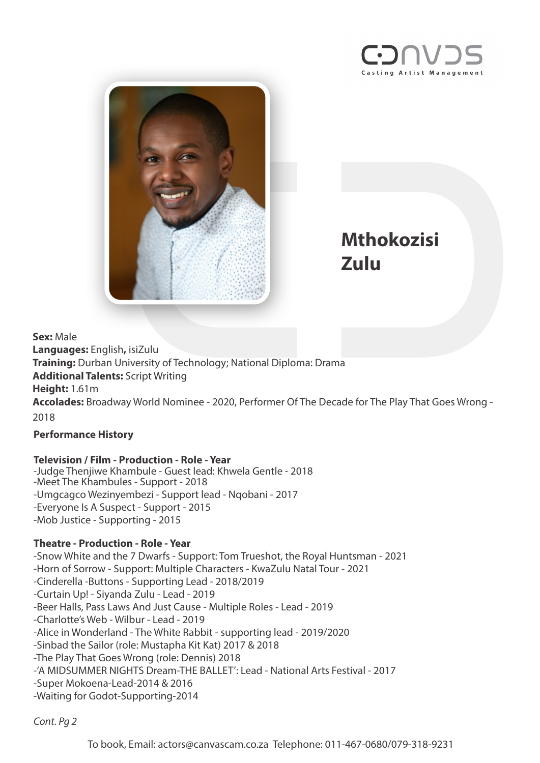



**Mthokozisi Zulu**

**Sex:** Male **Languages:** English**,** isiZulu **Training:** Durban University of Technology; National Diploma: Drama **Additional Talents:** Script Writing **Height:** 1.61m **Accolades:** Broadway World Nominee - 2020, Performer Of The Decade for The Play That Goes Wrong - 2018

## **Performance History**

## **Television / Film - Production - Role - Year**

-Judge Thenjiwe Khambule - Guest lead: Khwela Gentle - 2018 -Meet The Khambules - Support - 2018 -Umgcagco Wezinyembezi - Support lead - Nqobani - 2017 -Everyone Is A Suspect - Support - 2015 -Mob Justice - Supporting - 2015

## **Theatre - Production - Role - Year**

-Snow White and the 7 Dwarfs - Support: Tom Trueshot, the Royal Huntsman - 2021 -Horn of Sorrow - Support: Multiple Characters - KwaZulu Natal Tour - 2021 -Cinderella -Buttons - Supporting Lead - 2018/2019 -Curtain Up! - Siyanda Zulu - Lead - 2019 -Beer Halls, Pass Laws And Just Cause - Multiple Roles - Lead - 2019 -Charlotte's Web - Wilbur - Lead - 2019 -Alice in Wonderland - The White Rabbit - supporting lead - 2019/2020 -Sinbad the Sailor (role: Mustapha Kit Kat) 2017 & 2018 -The Play That Goes Wrong (role: Dennis) 2018 -'A MIDSUMMER NIGHTS Dream-THE BALLET': Lead - National Arts Festival - 2017 -Super Mokoena-Lead-2014 & 2016 -Waiting for Godot-Supporting-2014

*Cont. Pg 2*